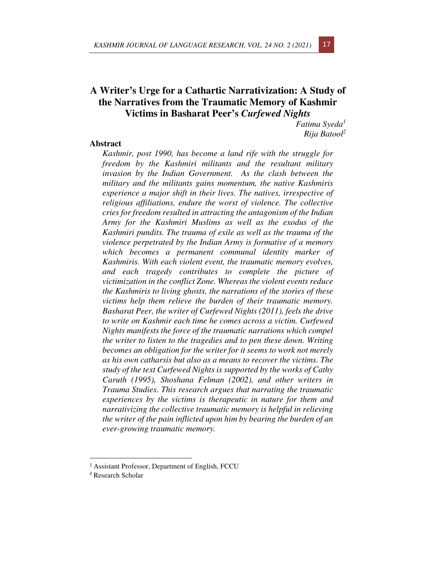# **A Writer's Urge for a Cathartic Narrativization: A Study of the Narratives from the Traumatic Memory of Kashmir Victims in Basharat Peer's** *Curfewed Nights*

*Fatima Syeda<sup>1</sup> Rija Batool<sup>2</sup>*

## **Abstract**

*Kashmir, post 1990, has become a land rife with the struggle for freedom by the Kashmiri militants and the resultant military invasion by the Indian Government. As the clash between the military and the militants gains momentum, the native Kashmiris experience a major shift in their lives. The natives, irrespective of religious affiliations, endure the worst of violence. The collective cries for freedom resulted in attracting the antagonism of the Indian Army for the Kashmiri Muslims as well as the exodus of the Kashmiri pundits. The trauma of exile as well as the trauma of the violence perpetrated by the Indian Army is formative of a memory which becomes a permanent communal identity marker of Kashmiris. With each violent event, the traumatic memory evolves, and each tragedy contributes to complete the picture of victimization in the conflict Zone. Whereas the violent events reduce the Kashmiris to living ghosts, the narrations of the stories of these victims help them relieve the burden of their traumatic memory. Basharat Peer, the writer of Curfewed Nights (2011), feels the drive to write on Kashmir each time he comes across a victim. Curfewed Nights manifests the force of the traumatic narrations which compel the writer to listen to the tragedies and to pen these down. Writing becomes an obligation for the writer for it seems to work not merely as his own catharsis but also as a means to recover the victims. The study of the text Curfewed Nights is supported by the works of Cathy Caruth (1995), Shoshana Felman (2002), and other writers in Trauma Studies. This research argues that narrating the traumatic experiences by the victims is therapeutic in nature for them and narrativizing the collective traumatic memory is helpful in relieving the writer of the pain inflicted upon him by bearing the burden of an ever-growing traumatic memory.* 

<sup>&</sup>lt;sup>1</sup> Assistant Professor, Department of English, FCCU

<sup>2</sup> Research Scholar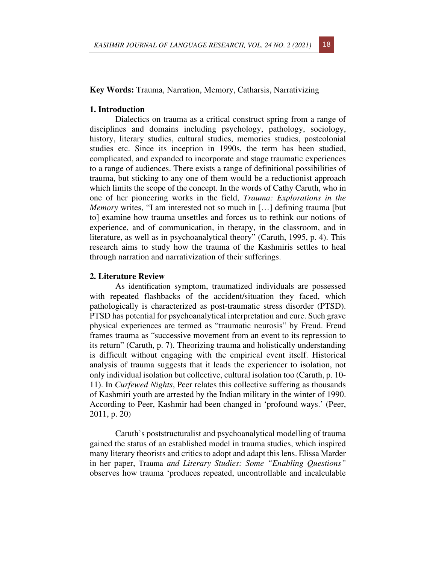### **Key Words:** Trauma, Narration, Memory, Catharsis, Narrativizing

## **1. Introduction**

Dialectics on trauma as a critical construct spring from a range of disciplines and domains including psychology, pathology, sociology, history, literary studies, cultural studies, memories studies, postcolonial studies etc. Since its inception in 1990s, the term has been studied, complicated, and expanded to incorporate and stage traumatic experiences to a range of audiences. There exists a range of definitional possibilities of trauma, but sticking to any one of them would be a reductionist approach which limits the scope of the concept. In the words of Cathy Caruth, who in one of her pioneering works in the field, *Trauma: Explorations in the Memory* writes, "I am interested not so much in [...] defining trauma [but] to] examine how trauma unsettles and forces us to rethink our notions of experience, and of communication, in therapy, in the classroom, and in literature, as well as in psychoanalytical theory" (Caruth, 1995, p. 4). This research aims to study how the trauma of the Kashmiris settles to heal through narration and narrativization of their sufferings.

#### **2. Literature Review**

As identification symptom, traumatized individuals are possessed with repeated flashbacks of the accident/situation they faced, which pathologically is characterized as post-traumatic stress disorder (PTSD). PTSD has potential for psychoanalytical interpretation and cure. Such grave physical experiences are termed as "traumatic neurosis" by Freud. Freud frames trauma as "successive movement from an event to its repression to its return" (Caruth, p. 7). Theorizing trauma and holistically understanding is difficult without engaging with the empirical event itself. Historical analysis of trauma suggests that it leads the experiencer to isolation, not only individual isolation but collective, cultural isolation too (Caruth, p. 10- 11). In *Curfewed Nights*, Peer relates this collective suffering as thousands of Kashmiri youth are arrested by the Indian military in the winter of 1990. According to Peer, Kashmir had been changed in 'profound ways.' (Peer, 2011, p. 20)

Caruth's poststructuralist and psychoanalytical modelling of trauma gained the status of an established model in trauma studies, which inspired many literary theorists and critics to adopt and adapt this lens. Elissa Marder in her paper, Trauma *and Literary Studies: Some "Enabling Questions"*  observes how trauma 'produces repeated, uncontrollable and incalculable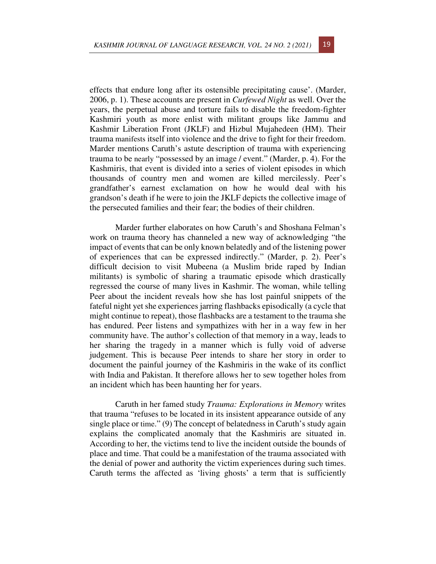effects that endure long after its ostensible precipitating cause'. (Marder, 2006, p. 1). These accounts are present in *Curfewed Night* as well. Over the years, the perpetual abuse and torture fails to disable the freedom-fighter Kashmiri youth as more enlist with militant groups like Jammu and Kashmir Liberation Front (JKLF) and Hizbul Mujahedeen (HM). Their trauma manifests itself into violence and the drive to fight for their freedom. Marder mentions Caruth's astute description of trauma with experiencing trauma to be nearly "possessed by an image / event." (Marder, p. 4). For the Kashmiris, that event is divided into a series of violent episodes in which thousands of country men and women are killed mercilessly. Peer's grandfather's earnest exclamation on how he would deal with his grandson's death if he were to join the JKLF depicts the collective image of the persecuted families and their fear; the bodies of their children.

Marder further elaborates on how Caruth's and Shoshana Felman's work on trauma theory has channeled a new way of acknowledging "the impact of events that can be only known belatedly and of the listening power of experiences that can be expressed indirectly." (Marder, p. 2). Peer's difficult decision to visit Mubeena (a Muslim bride raped by Indian militants) is symbolic of sharing a traumatic episode which drastically regressed the course of many lives in Kashmir. The woman, while telling Peer about the incident reveals how she has lost painful snippets of the fateful night yet she experiences jarring flashbacks episodically (a cycle that might continue to repeat), those flashbacks are a testament to the trauma she has endured. Peer listens and sympathizes with her in a way few in her community have. The author's collection of that memory in a way, leads to her sharing the tragedy in a manner which is fully void of adverse judgement. This is because Peer intends to share her story in order to document the painful journey of the Kashmiris in the wake of its conflict with India and Pakistan. It therefore allows her to sew together holes from an incident which has been haunting her for years.

Caruth in her famed study *Trauma: Explorations in Memory* writes that trauma "refuses to be located in its insistent appearance outside of any single place or time." (9) The concept of belatedness in Caruth's study again explains the complicated anomaly that the Kashmiris are situated in. According to her, the victims tend to live the incident outside the bounds of place and time. That could be a manifestation of the trauma associated with the denial of power and authority the victim experiences during such times. Caruth terms the affected as 'living ghosts' a term that is sufficiently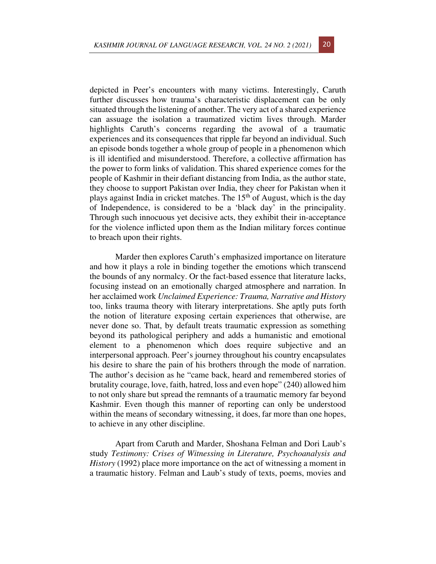depicted in Peer's encounters with many victims. Interestingly, Caruth further discusses how trauma's characteristic displacement can be only situated through the listening of another. The very act of a shared experience can assuage the isolation a traumatized victim lives through. Marder highlights Caruth's concerns regarding the avowal of a traumatic experiences and its consequences that ripple far beyond an individual. Such an episode bonds together a whole group of people in a phenomenon which is ill identified and misunderstood. Therefore, a collective affirmation has the power to form links of validation. This shared experience comes for the people of Kashmir in their defiant distancing from India, as the author state, they choose to support Pakistan over India, they cheer for Pakistan when it plays against India in cricket matches. The  $15<sup>th</sup>$  of August, which is the day of Independence, is considered to be a 'black day' in the principality. Through such innocuous yet decisive acts, they exhibit their in-acceptance for the violence inflicted upon them as the Indian military forces continue to breach upon their rights.

Marder then explores Caruth's emphasized importance on literature and how it plays a role in binding together the emotions which transcend the bounds of any normalcy. Or the fact-based essence that literature lacks, focusing instead on an emotionally charged atmosphere and narration. In her acclaimed work *Unclaimed Experience: Trauma, Narrative and History* too, links trauma theory with literary interpretations. She aptly puts forth the notion of literature exposing certain experiences that otherwise, are never done so. That, by default treats traumatic expression as something beyond its pathological periphery and adds a humanistic and emotional element to a phenomenon which does require subjective and an interpersonal approach. Peer's journey throughout his country encapsulates his desire to share the pain of his brothers through the mode of narration. The author's decision as he "came back, heard and remembered stories of brutality courage, love, faith, hatred, loss and even hope" (240) allowed him to not only share but spread the remnants of a traumatic memory far beyond Kashmir. Even though this manner of reporting can only be understood within the means of secondary witnessing, it does, far more than one hopes, to achieve in any other discipline.

Apart from Caruth and Marder, Shoshana Felman and Dori Laub's study *Testimony: Crises of Witnessing in Literature, Psychoanalysis and History* (1992) place more importance on the act of witnessing a moment in a traumatic history. Felman and Laub's study of texts, poems, movies and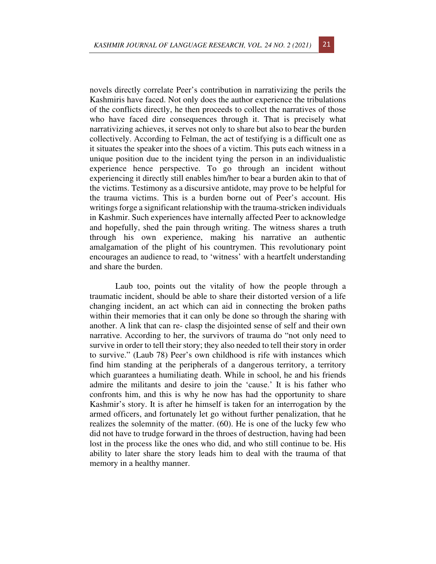novels directly correlate Peer's contribution in narrativizing the perils the Kashmiris have faced. Not only does the author experience the tribulations of the conflicts directly, he then proceeds to collect the narratives of those who have faced dire consequences through it. That is precisely what narrativizing achieves, it serves not only to share but also to bear the burden collectively. According to Felman, the act of testifying is a difficult one as it situates the speaker into the shoes of a victim. This puts each witness in a unique position due to the incident tying the person in an individualistic experience hence perspective. To go through an incident without experiencing it directly still enables him/her to bear a burden akin to that of the victims. Testimony as a discursive antidote, may prove to be helpful for the trauma victims. This is a burden borne out of Peer's account. His writings forge a significant relationship with the trauma-stricken individuals in Kashmir. Such experiences have internally affected Peer to acknowledge and hopefully, shed the pain through writing. The witness shares a truth through his own experience, making his narrative an authentic amalgamation of the plight of his countrymen. This revolutionary point encourages an audience to read, to 'witness' with a heartfelt understanding and share the burden.

Laub too, points out the vitality of how the people through a traumatic incident, should be able to share their distorted version of a life changing incident, an act which can aid in connecting the broken paths within their memories that it can only be done so through the sharing with another. A link that can re- clasp the disjointed sense of self and their own narrative. According to her, the survivors of trauma do "not only need to survive in order to tell their story; they also needed to tell their story in order to survive." (Laub 78) Peer's own childhood is rife with instances which find him standing at the peripherals of a dangerous territory, a territory which guarantees a humiliating death. While in school, he and his friends admire the militants and desire to join the 'cause.' It is his father who confronts him, and this is why he now has had the opportunity to share Kashmir's story. It is after he himself is taken for an interrogation by the armed officers, and fortunately let go without further penalization, that he realizes the solemnity of the matter. (60). He is one of the lucky few who did not have to trudge forward in the throes of destruction, having had been lost in the process like the ones who did, and who still continue to be. His ability to later share the story leads him to deal with the trauma of that memory in a healthy manner.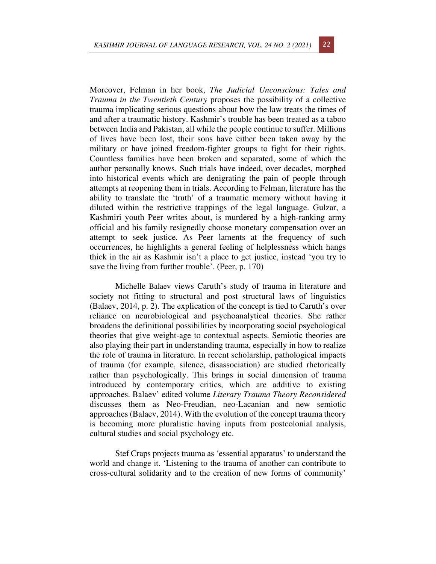Moreover, Felman in her book, *The Judicial Unconscious: Tales and Trauma in the Twentieth Century* proposes the possibility of a collective trauma implicating serious questions about how the law treats the times of and after a traumatic history. Kashmir's trouble has been treated as a taboo between India and Pakistan, all while the people continue to suffer. Millions of lives have been lost, their sons have either been taken away by the military or have joined freedom-fighter groups to fight for their rights. Countless families have been broken and separated, some of which the author personally knows. Such trials have indeed, over decades, morphed into historical events which are denigrating the pain of people through attempts at reopening them in trials. According to Felman, literature has the ability to translate the 'truth' of a traumatic memory without having it diluted within the restrictive trappings of the legal language. Gulzar, a Kashmiri youth Peer writes about, is murdered by a high-ranking army official and his family resignedly choose monetary compensation over an attempt to seek justice. As Peer laments at the frequency of such occurrences, he highlights a general feeling of helplessness which hangs thick in the air as Kashmir isn't a place to get justice, instead 'you try to save the living from further trouble'. (Peer, p. 170)

Michelle Balaev views Caruth's study of trauma in literature and society not fitting to structural and post structural laws of linguistics (Balaev, 2014, p. 2). The explication of the concept is tied to Caruth's over reliance on neurobiological and psychoanalytical theories. She rather broadens the definitional possibilities by incorporating social psychological theories that give weight-age to contextual aspects. Semiotic theories are also playing their part in understanding trauma, especially in how to realize the role of trauma in literature. In recent scholarship, pathological impacts of trauma (for example, silence, disassociation) are studied rhetorically rather than psychologically. This brings in social dimension of trauma introduced by contemporary critics, which are additive to existing approaches. Balaev' edited volume *Literary Trauma Theory Reconsidered*  discusses them as Neo-Freudian, neo-Lacanian and new semiotic approaches (Balaev, 2014). With the evolution of the concept trauma theory is becoming more pluralistic having inputs from postcolonial analysis, cultural studies and social psychology etc.

Stef Craps projects trauma as 'essential apparatus' to understand the world and change it. 'Listening to the trauma of another can contribute to cross-cultural solidarity and to the creation of new forms of community'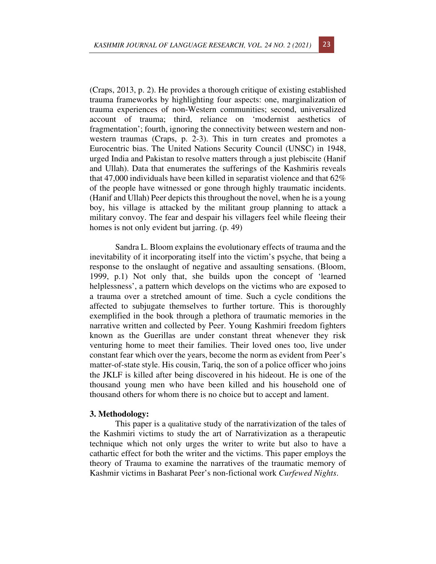(Craps, 2013, p. 2). He provides a thorough critique of existing established trauma frameworks by highlighting four aspects: one, marginalization of trauma experiences of non-Western communities; second, universalized account of trauma; third, reliance on 'modernist aesthetics of fragmentation'; fourth, ignoring the connectivity between western and nonwestern traumas (Craps, p. 2-3). This in turn creates and promotes a Eurocentric bias. The United Nations Security Council (UNSC) in 1948, urged India and Pakistan to resolve matters through a just plebiscite (Hanif and Ullah). Data that enumerates the sufferings of the Kashmiris reveals that 47,000 individuals have been killed in separatist violence and that 62% of the people have witnessed or gone through highly traumatic incidents. (Hanif and Ullah) Peer depicts this throughout the novel, when he is a young boy, his village is attacked by the militant group planning to attack a military convoy. The fear and despair his villagers feel while fleeing their homes is not only evident but jarring. (p. 49)

Sandra L. Bloom explains the evolutionary effects of trauma and the inevitability of it incorporating itself into the victim's psyche, that being a response to the onslaught of negative and assaulting sensations. (Bloom, 1999, p.1) Not only that, she builds upon the concept of 'learned helplessness', a pattern which develops on the victims who are exposed to a trauma over a stretched amount of time. Such a cycle conditions the affected to subjugate themselves to further torture. This is thoroughly exemplified in the book through a plethora of traumatic memories in the narrative written and collected by Peer. Young Kashmiri freedom fighters known as the Guerillas are under constant threat whenever they risk venturing home to meet their families. Their loved ones too, live under constant fear which over the years, become the norm as evident from Peer's matter-of-state style. His cousin, Tariq, the son of a police officer who joins the JKLF is killed after being discovered in his hideout. He is one of the thousand young men who have been killed and his household one of thousand others for whom there is no choice but to accept and lament.

#### **3. Methodology:**

This paper is a qualitative study of the narrativization of the tales of the Kashmiri victims to study the art of Narrativization as a therapeutic technique which not only urges the writer to write but also to have a cathartic effect for both the writer and the victims. This paper employs the theory of Trauma to examine the narratives of the traumatic memory of Kashmir victims in Basharat Peer's non-fictional work *Curfewed Nights*.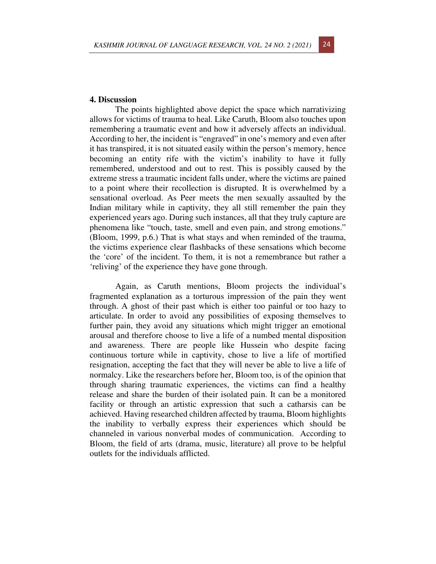The points highlighted above depict the space which narrativizing allows for victims of trauma to heal. Like Caruth, Bloom also touches upon remembering a traumatic event and how it adversely affects an individual. According to her, the incident is "engraved" in one's memory and even after it has transpired, it is not situated easily within the person's memory, hence becoming an entity rife with the victim's inability to have it fully remembered, understood and out to rest. This is possibly caused by the extreme stress a traumatic incident falls under, where the victims are pained to a point where their recollection is disrupted. It is overwhelmed by a sensational overload. As Peer meets the men sexually assaulted by the Indian military while in captivity, they all still remember the pain they experienced years ago. During such instances, all that they truly capture are phenomena like "touch, taste, smell and even pain, and strong emotions." (Bloom, 1999, p.6.) That is what stays and when reminded of the trauma, the victims experience clear flashbacks of these sensations which become the 'core' of the incident. To them, it is not a remembrance but rather a 'reliving' of the experience they have gone through.

Again, as Caruth mentions, Bloom projects the individual's fragmented explanation as a torturous impression of the pain they went through. A ghost of their past which is either too painful or too hazy to articulate. In order to avoid any possibilities of exposing themselves to further pain, they avoid any situations which might trigger an emotional arousal and therefore choose to live a life of a numbed mental disposition and awareness. There are people like Hussein who despite facing continuous torture while in captivity, chose to live a life of mortified resignation, accepting the fact that they will never be able to live a life of normalcy. Like the researchers before her, Bloom too, is of the opinion that through sharing traumatic experiences, the victims can find a healthy release and share the burden of their isolated pain. It can be a monitored facility or through an artistic expression that such a catharsis can be achieved. Having researched children affected by trauma, Bloom highlights the inability to verbally express their experiences which should be channeled in various nonverbal modes of communication. According to Bloom, the field of arts (drama, music, literature) all prove to be helpful outlets for the individuals afflicted.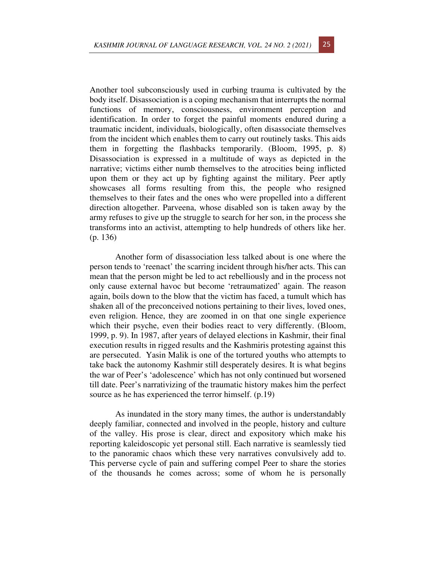Another tool subconsciously used in curbing trauma is cultivated by the body itself. Disassociation is a coping mechanism that interrupts the normal functions of memory, consciousness, environment perception and identification. In order to forget the painful moments endured during a traumatic incident, individuals, biologically, often disassociate themselves from the incident which enables them to carry out routinely tasks. This aids them in forgetting the flashbacks temporarily. (Bloom, 1995, p. 8) Disassociation is expressed in a multitude of ways as depicted in the narrative; victims either numb themselves to the atrocities being inflicted upon them or they act up by fighting against the military. Peer aptly showcases all forms resulting from this, the people who resigned themselves to their fates and the ones who were propelled into a different direction altogether. Parveena, whose disabled son is taken away by the army refuses to give up the struggle to search for her son, in the process she transforms into an activist, attempting to help hundreds of others like her. (p. 136)

Another form of disassociation less talked about is one where the person tends to 'reenact' the scarring incident through his/her acts. This can mean that the person might be led to act rebelliously and in the process not only cause external havoc but become 'retraumatized' again. The reason again, boils down to the blow that the victim has faced, a tumult which has shaken all of the preconceived notions pertaining to their lives, loved ones, even religion. Hence, they are zoomed in on that one single experience which their psyche, even their bodies react to very differently. (Bloom, 1999, p. 9). In 1987, after years of delayed elections in Kashmir, their final execution results in rigged results and the Kashmiris protesting against this are persecuted. Yasin Malik is one of the tortured youths who attempts to take back the autonomy Kashmir still desperately desires. It is what begins the war of Peer's 'adolescence' which has not only continued but worsened till date. Peer's narrativizing of the traumatic history makes him the perfect source as he has experienced the terror himself.  $(p.19)$ 

As inundated in the story many times, the author is understandably deeply familiar, connected and involved in the people, history and culture of the valley. His prose is clear, direct and expository which make his reporting kaleidoscopic yet personal still. Each narrative is seamlessly tied to the panoramic chaos which these very narratives convulsively add to. This perverse cycle of pain and suffering compel Peer to share the stories of the thousands he comes across; some of whom he is personally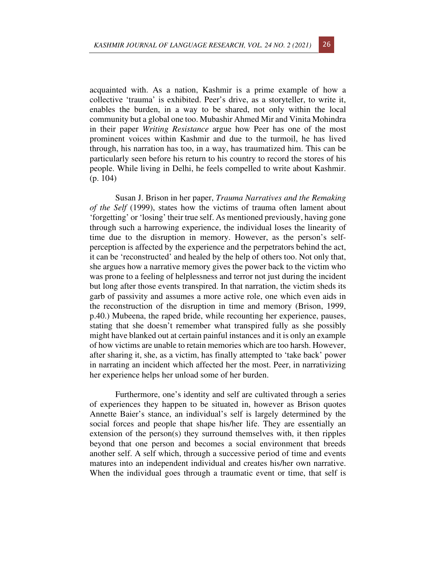acquainted with. As a nation, Kashmir is a prime example of how a collective 'trauma' is exhibited. Peer's drive, as a storyteller, to write it, enables the burden, in a way to be shared, not only within the local community but a global one too. Mubashir Ahmed Mir and Vinita Mohindra in their paper *Writing Resistance* argue how Peer has one of the most prominent voices within Kashmir and due to the turmoil, he has lived through, his narration has too, in a way, has traumatized him. This can be particularly seen before his return to his country to record the stores of his people. While living in Delhi, he feels compelled to write about Kashmir. (p. 104)

Susan J. Brison in her paper, *Trauma Narratives and the Remaking of the Self* (1999), states how the victims of trauma often lament about 'forgetting' or 'losing' their true self. As mentioned previously, having gone through such a harrowing experience, the individual loses the linearity of time due to the disruption in memory. However, as the person's selfperception is affected by the experience and the perpetrators behind the act, it can be 'reconstructed' and healed by the help of others too. Not only that, she argues how a narrative memory gives the power back to the victim who was prone to a feeling of helplessness and terror not just during the incident but long after those events transpired. In that narration, the victim sheds its garb of passivity and assumes a more active role, one which even aids in the reconstruction of the disruption in time and memory (Brison, 1999, p.40.) Mubeena, the raped bride, while recounting her experience, pauses, stating that she doesn't remember what transpired fully as she possibly might have blanked out at certain painful instances and it is only an example of how victims are unable to retain memories which are too harsh. However, after sharing it, she, as a victim, has finally attempted to 'take back' power in narrating an incident which affected her the most. Peer, in narrativizing her experience helps her unload some of her burden.

Furthermore, one's identity and self are cultivated through a series of experiences they happen to be situated in, however as Brison quotes Annette Baier's stance, an individual's self is largely determined by the social forces and people that shape his/her life. They are essentially an extension of the person(s) they surround themselves with, it then ripples beyond that one person and becomes a social environment that breeds another self. A self which, through a successive period of time and events matures into an independent individual and creates his/her own narrative. When the individual goes through a traumatic event or time, that self is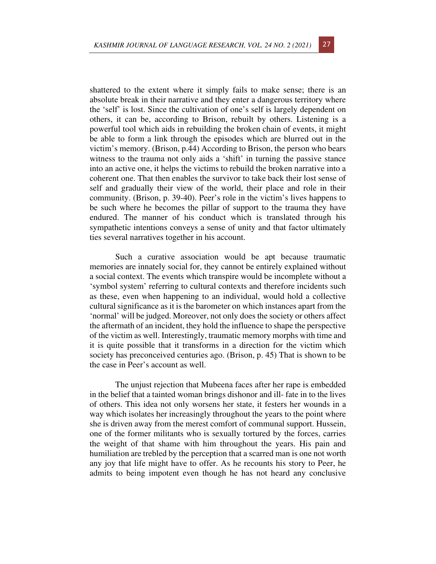shattered to the extent where it simply fails to make sense; there is an absolute break in their narrative and they enter a dangerous territory where the 'self' is lost. Since the cultivation of one's self is largely dependent on others, it can be, according to Brison, rebuilt by others. Listening is a powerful tool which aids in rebuilding the broken chain of events, it might be able to form a link through the episodes which are blurred out in the victim's memory. (Brison, p.44) According to Brison, the person who bears witness to the trauma not only aids a 'shift' in turning the passive stance into an active one, it helps the victims to rebuild the broken narrative into a coherent one. That then enables the survivor to take back their lost sense of self and gradually their view of the world, their place and role in their community. (Brison, p. 39-40). Peer's role in the victim's lives happens to be such where he becomes the pillar of support to the trauma they have endured. The manner of his conduct which is translated through his sympathetic intentions conveys a sense of unity and that factor ultimately ties several narratives together in his account.

Such a curative association would be apt because traumatic memories are innately social for, they cannot be entirely explained without a social context. The events which transpire would be incomplete without a 'symbol system' referring to cultural contexts and therefore incidents such as these, even when happening to an individual, would hold a collective cultural significance as it is the barometer on which instances apart from the 'normal' will be judged. Moreover, not only does the society or others affect the aftermath of an incident, they hold the influence to shape the perspective of the victim as well. Interestingly, traumatic memory morphs with time and it is quite possible that it transforms in a direction for the victim which society has preconceived centuries ago. (Brison, p. 45) That is shown to be the case in Peer's account as well.

The unjust rejection that Mubeena faces after her rape is embedded in the belief that a tainted woman brings dishonor and ill- fate in to the lives of others. This idea not only worsens her state, it festers her wounds in a way which isolates her increasingly throughout the years to the point where she is driven away from the merest comfort of communal support. Hussein, one of the former militants who is sexually tortured by the forces, carries the weight of that shame with him throughout the years. His pain and humiliation are trebled by the perception that a scarred man is one not worth any joy that life might have to offer. As he recounts his story to Peer, he admits to being impotent even though he has not heard any conclusive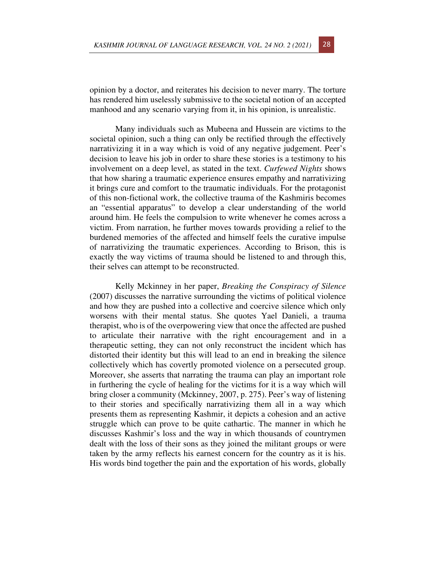opinion by a doctor, and reiterates his decision to never marry. The torture has rendered him uselessly submissive to the societal notion of an accepted manhood and any scenario varying from it, in his opinion, is unrealistic.

Many individuals such as Mubeena and Hussein are victims to the societal opinion, such a thing can only be rectified through the effectively narrativizing it in a way which is void of any negative judgement. Peer's decision to leave his job in order to share these stories is a testimony to his involvement on a deep level, as stated in the text. *Curfewed Nights* shows that how sharing a traumatic experience ensures empathy and narrativizing it brings cure and comfort to the traumatic individuals. For the protagonist of this non-fictional work, the collective trauma of the Kashmiris becomes an "essential apparatus" to develop a clear understanding of the world around him. He feels the compulsion to write whenever he comes across a victim. From narration, he further moves towards providing a relief to the burdened memories of the affected and himself feels the curative impulse of narrativizing the traumatic experiences. According to Brison, this is exactly the way victims of trauma should be listened to and through this, their selves can attempt to be reconstructed.

Kelly Mckinney in her paper, *Breaking the Conspiracy of Silence*  (2007) discusses the narrative surrounding the victims of political violence and how they are pushed into a collective and coercive silence which only worsens with their mental status. She quotes Yael Danieli, a trauma therapist, who is of the overpowering view that once the affected are pushed to articulate their narrative with the right encouragement and in a therapeutic setting, they can not only reconstruct the incident which has distorted their identity but this will lead to an end in breaking the silence collectively which has covertly promoted violence on a persecuted group. Moreover, she asserts that narrating the trauma can play an important role in furthering the cycle of healing for the victims for it is a way which will bring closer a community (Mckinney, 2007, p. 275). Peer's way of listening to their stories and specifically narrativizing them all in a way which presents them as representing Kashmir, it depicts a cohesion and an active struggle which can prove to be quite cathartic. The manner in which he discusses Kashmir's loss and the way in which thousands of countrymen dealt with the loss of their sons as they joined the militant groups or were taken by the army reflects his earnest concern for the country as it is his. His words bind together the pain and the exportation of his words, globally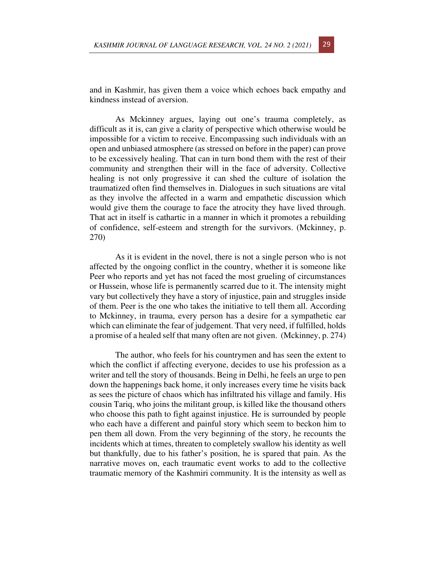and in Kashmir, has given them a voice which echoes back empathy and kindness instead of aversion.

As Mckinney argues, laying out one's trauma completely, as difficult as it is, can give a clarity of perspective which otherwise would be impossible for a victim to receive. Encompassing such individuals with an open and unbiased atmosphere (as stressed on before in the paper) can prove to be excessively healing. That can in turn bond them with the rest of their community and strengthen their will in the face of adversity. Collective healing is not only progressive it can shed the culture of isolation the traumatized often find themselves in. Dialogues in such situations are vital as they involve the affected in a warm and empathetic discussion which would give them the courage to face the atrocity they have lived through. That act in itself is cathartic in a manner in which it promotes a rebuilding of confidence, self-esteem and strength for the survivors. (Mckinney, p. 270)

As it is evident in the novel, there is not a single person who is not affected by the ongoing conflict in the country, whether it is someone like Peer who reports and yet has not faced the most grueling of circumstances or Hussein, whose life is permanently scarred due to it. The intensity might vary but collectively they have a story of injustice, pain and struggles inside of them. Peer is the one who takes the initiative to tell them all. According to Mckinney, in trauma, every person has a desire for a sympathetic ear which can eliminate the fear of judgement. That very need, if fulfilled, holds a promise of a healed self that many often are not given. (Mckinney, p. 274)

The author, who feels for his countrymen and has seen the extent to which the conflict if affecting everyone, decides to use his profession as a writer and tell the story of thousands. Being in Delhi, he feels an urge to pen down the happenings back home, it only increases every time he visits back as sees the picture of chaos which has infiltrated his village and family. His cousin Tariq, who joins the militant group, is killed like the thousand others who choose this path to fight against injustice. He is surrounded by people who each have a different and painful story which seem to beckon him to pen them all down. From the very beginning of the story, he recounts the incidents which at times, threaten to completely swallow his identity as well but thankfully, due to his father's position, he is spared that pain. As the narrative moves on, each traumatic event works to add to the collective traumatic memory of the Kashmiri community. It is the intensity as well as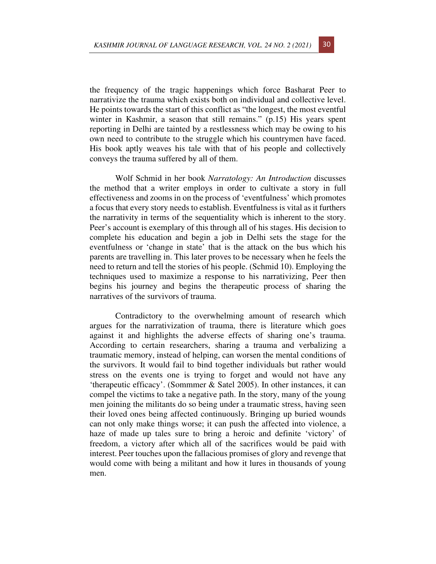the frequency of the tragic happenings which force Basharat Peer to narrativize the trauma which exists both on individual and collective level. He points towards the start of this conflict as "the longest, the most eventful winter in Kashmir, a season that still remains." (p.15) His years spent reporting in Delhi are tainted by a restlessness which may be owing to his own need to contribute to the struggle which his countrymen have faced. His book aptly weaves his tale with that of his people and collectively conveys the trauma suffered by all of them.

Wolf Schmid in her book *Narratology: An Introduction* discusses the method that a writer employs in order to cultivate a story in full effectiveness and zooms in on the process of 'eventfulness' which promotes a focus that every story needs to establish. Eventfulness is vital as it furthers the narrativity in terms of the sequentiality which is inherent to the story. Peer's account is exemplary of this through all of his stages. His decision to complete his education and begin a job in Delhi sets the stage for the eventfulness or 'change in state' that is the attack on the bus which his parents are travelling in. This later proves to be necessary when he feels the need to return and tell the stories of his people. (Schmid 10). Employing the techniques used to maximize a response to his narrativizing, Peer then begins his journey and begins the therapeutic process of sharing the narratives of the survivors of trauma.

Contradictory to the overwhelming amount of research which argues for the narrativization of trauma, there is literature which goes against it and highlights the adverse effects of sharing one's trauma. According to certain researchers, sharing a trauma and verbalizing a traumatic memory, instead of helping, can worsen the mental conditions of the survivors. It would fail to bind together individuals but rather would stress on the events one is trying to forget and would not have any 'therapeutic efficacy'. (Sommmer & Satel 2005). In other instances, it can compel the victims to take a negative path. In the story, many of the young men joining the militants do so being under a traumatic stress, having seen their loved ones being affected continuously. Bringing up buried wounds can not only make things worse; it can push the affected into violence, a haze of made up tales sure to bring a heroic and definite 'victory' of freedom, a victory after which all of the sacrifices would be paid with interest. Peer touches upon the fallacious promises of glory and revenge that would come with being a militant and how it lures in thousands of young men.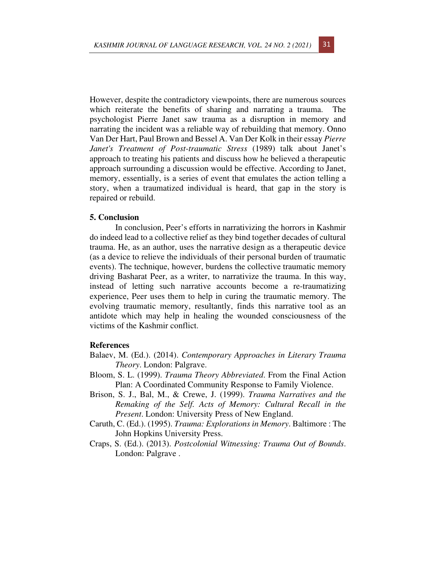However, despite the contradictory viewpoints, there are numerous sources which reiterate the benefits of sharing and narrating a trauma. The psychologist Pierre Janet saw trauma as a disruption in memory and narrating the incident was a reliable way of rebuilding that memory. Onno Van Der Hart, Paul Brown and Bessel A. Van Der Kolk in their essay *Pierre Janet's Treatment of Post-traumatic Stress* (1989) talk about Janet's approach to treating his patients and discuss how he believed a therapeutic approach surrounding a discussion would be effective. According to Janet, memory, essentially, is a series of event that emulates the action telling a story, when a traumatized individual is heard, that gap in the story is repaired or rebuild.

## **5. Conclusion**

In conclusion, Peer's efforts in narrativizing the horrors in Kashmir do indeed lead to a collective relief as they bind together decades of cultural trauma. He, as an author, uses the narrative design as a therapeutic device (as a device to relieve the individuals of their personal burden of traumatic events). The technique, however, burdens the collective traumatic memory driving Basharat Peer, as a writer, to narrativize the trauma. In this way, instead of letting such narrative accounts become a re-traumatizing experience, Peer uses them to help in curing the traumatic memory. The evolving traumatic memory, resultantly, finds this narrative tool as an antidote which may help in healing the wounded consciousness of the victims of the Kashmir conflict.

## **References**

- Balaev, M. (Ed.). (2014). *Contemporary Approaches in Literary Trauma Theory*. London: Palgrave.
- Bloom, S. L. (1999). *Trauma Theory Abbreviated*. From the Final Action Plan: A Coordinated Community Response to Family Violence.
- Brison, S. J., Bal, M., & Crewe, J. (1999). *Trauma Narratives and the Remaking of the Self. Acts of Memory: Cultural Recall in the Present*. London: University Press of New England.
- Caruth, C. (Ed.). (1995). *Trauma: Explorations in Memory*. Baltimore : The John Hopkins University Press.
- Craps, S. (Ed.). (2013). *Postcolonial Witnessing: Trauma Out of Bounds*. London: Palgrave .